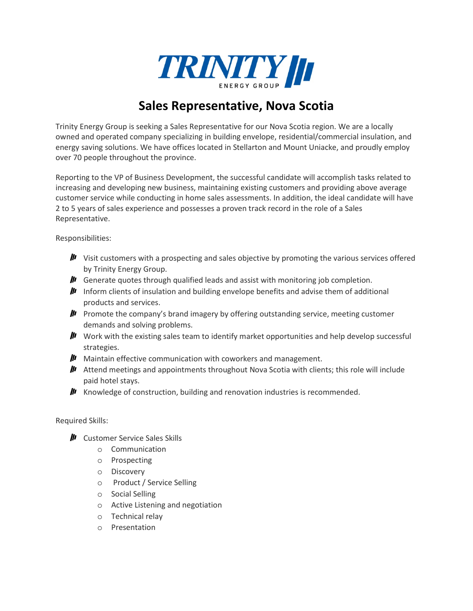

## **Sales Representative, Nova Scotia**

Trinity Energy Group is seeking a Sales Representative for our Nova Scotia region. We are a locally owned and operated company specializing in building envelope, residential/commercial insulation, and energy saving solutions. We have offices located in Stellarton and Mount Uniacke, and proudly employ over 70 people throughout the province.

Reporting to the VP of Business Development, the successful candidate will accomplish tasks related to increasing and developing new business, maintaining existing customers and providing above average customer service while conducting in home sales assessments. In addition, the ideal candidate will have 2 to 5 years of sales experience and possesses a proven track record in the role of a Sales Representative.

Responsibilities:

- $\mu$  Visit customers with a prospecting and sales objective by promoting the various services offered by Trinity Energy Group.
- $\mu$  Generate quotes through qualified leads and assist with monitoring job completion.
- **III** Inform clients of insulation and building envelope benefits and advise them of additional products and services.
- $\mu$  Promote the company's brand imagery by offering outstanding service, meeting customer demands and solving problems.
- $\mu$  Work with the existing sales team to identify market opportunities and help develop successful strategies.
- $\mathbf{I}$  Maintain effective communication with coworkers and management.
- **II** Attend meetings and appointments throughout Nova Scotia with clients; this role will include paid hotel stays.
- $\mu$  Knowledge of construction, building and renovation industries is recommended.

## Required Skills:

- $\mu$  Customer Service Sales Skills
	- o Communication
	- o Prospecting
	- o Discovery
	- o Product / Service Selling
	- o Social Selling
	- o Active Listening and negotiation
	- o Technical relay
	- o Presentation